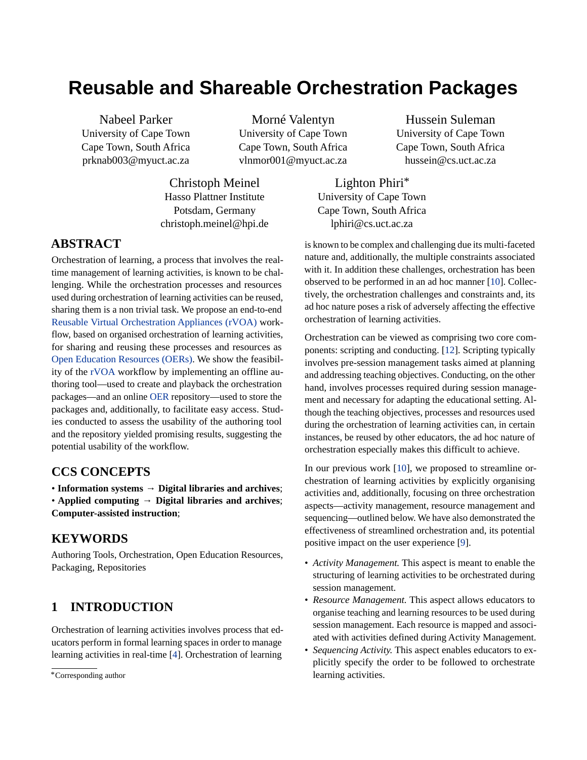# **Reusable and Shareable Orchestration Packages**

Nabeel Parker University of Cape Town Cape Town, South Africa prknab003@myuct.ac.za

Morné Valentyn University of Cape Town Cape Town, South Africa vlnmor001@myuct.ac.za

Christoph Meinel Hasso Plattner Institute Potsdam, Germany christoph.meinel@hpi.de

**ABSTRACT**

Orchestration of learning, a process that involves the realtime management of learning activities, is known to be challenging. While the orchestration processes and resources used during orchestration of learning activities can be reused, sharing them is a non trivial task. We propose an end-to-end [Reusable Virtual Orchestration Appliances \(rVOA\)](#page-5-0) workflow, based on organised orchestration of learning activities, for sharing and reusing these processes and resources as [Open Education Resources \(OERs\).](#page-5-0) We show the feasibility of the [rVOA](#page-5-0) workflow by implementing an offline authoring tool—used to create and playback the orchestration packages—and an online [OER](#page-5-0) repository—used to store the packages and, additionally, to facilitate easy access. Studies conducted to assess the usability of the authoring tool and the repository yielded promising results, suggesting the potential usability of the workflow.

#### **CCS CONCEPTS**

• **Information systems** → **Digital libraries and archives**; • **Applied computing** → **Digital libraries and archives**; **Computer-assisted instruction**;

### **KEYWORDS**

Authoring Tools, Orchestration, Open Education Resources, Packaging, Repositories

# **1 INTRODUCTION**

Orchestration of learning activities involves process that educators perform in formal learning spaces in order to manage learning activities in real-time [\[4\]](#page-4-0). Orchestration of learning

Hussein Suleman University of Cape Town Cape Town, South Africa hussein@cs.uct.ac.za

Lighton Phiri\* University of Cape Town Cape Town, South Africa lphiri@cs.uct.ac.za

is known to be complex and challenging due its multi-faceted nature and, additionally, the multiple constraints associated with it. In addition these challenges, orchestration has been observed to be performed in an ad hoc manner [\[10\]](#page-5-1). Collectively, the orchestration challenges and constraints and, its ad hoc nature poses a risk of adversely affecting the effective orchestration of learning activities.

Orchestration can be viewed as comprising two core components: scripting and conducting. [\[12\]](#page-5-2). Scripting typically involves pre-session management tasks aimed at planning and addressing teaching objectives. Conducting, on the other hand, involves processes required during session management and necessary for adapting the educational setting. Although the teaching objectives, processes and resources used during the orchestration of learning activities can, in certain instances, be reused by other educators, the ad hoc nature of orchestration especially makes this difficult to achieve.

In our previous work [\[10\]](#page-5-1), we proposed to streamline orchestration of learning activities by explicitly organising activities and, additionally, focusing on three orchestration aspects—activity management, resource management and sequencing—outlined below. We have also demonstrated the effectiveness of streamlined orchestration and, its potential positive impact on the user experience [\[9\]](#page-5-3).

- *Activity Management.* This aspect is meant to enable the structuring of learning activities to be orchestrated during session management.
- *Resource Management.* This aspect allows educators to organise teaching and learning resources to be used during session management. Each resource is mapped and associated with activities defined during Activity Management.
- *Sequencing Activity.* This aspect enables educators to explicitly specify the order to be followed to orchestrate learning activities.

<sup>\*</sup>Corresponding author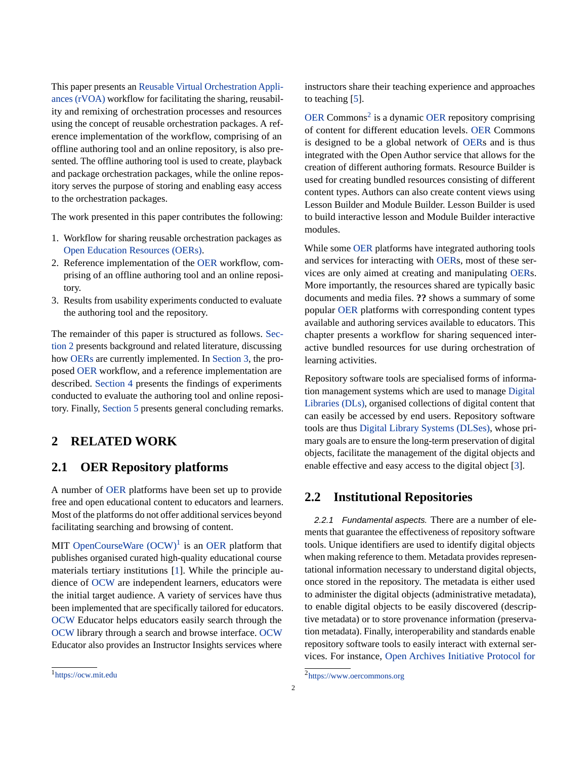This paper presents an [Reusable Virtual Orchestration Appli](#page-5-0)[ances \(rVOA\)](#page-5-0) workflow for facilitating the sharing, reusability and remixing of orchestration processes and resources using the concept of reusable orchestration packages. A reference implementation of the workflow, comprising of an offline authoring tool and an online repository, is also presented. The offline authoring tool is used to create, playback and package orchestration packages, while the online repository serves the purpose of storing and enabling easy access to the orchestration packages.

The work presented in this paper contributes the following:

- 1. Workflow for sharing reusable orchestration packages as [Open Education Resources \(OERs\).](#page-5-0)
- 2. Reference implementation of the [OER](#page-5-0) workflow, comprising of an offline authoring tool and an online repository.
- 3. Results from usability experiments conducted to evaluate the authoring tool and the repository.

The remainder of this paper is structured as follows. [Sec](#page-1-0)[tion 2](#page-1-0) presents background and related literature, discussing how [OERs](#page-5-0) are currently implemented. In [Section 3,](#page-2-0) the proposed [OER](#page-5-0) workflow, and a reference implementation are described. [Section 4](#page-2-1) presents the findings of experiments conducted to evaluate the authoring tool and online repository. Finally, [Section 5](#page-3-0) presents general concluding remarks.

#### <span id="page-1-0"></span>**2 RELATED WORK**

#### **2.1 OER Repository platforms**

A number of [OER](#page-5-0) platforms have been set up to provide free and open educational content to educators and learners. Most of the platforms do not offer additional services beyond facilitating searching and browsing of content.

MIT OpenCourseWare  $(OCW)^1$  $(OCW)^1$  is an [OER](#page-5-0) platform that publishes organised curated high-quality educational course materials tertiary institutions [\[1\]](#page-4-1). While the principle audience of [OCW](#page-5-0) are independent learners, educators were the initial target audience. A variety of services have thus been implemented that are specifically tailored for educators. [OCW](#page-5-0) Educator helps educators easily search through the [OCW](#page-5-0) library through a search and browse interface. [OCW](#page-5-0) Educator also provides an Instructor Insights services where

instructors share their teaching experience and approaches to teaching [\[5\]](#page-4-2).

[OER](#page-5-0) Commons<sup>[2](#page-1-2)</sup> is a dynamic OER repository comprising of content for different education levels. [OER](#page-5-0) Commons is designed to be a global network of [OERs](#page-5-0) and is thus integrated with the Open Author service that allows for the creation of different authoring formats. Resource Builder is used for creating bundled resources consisting of different content types. Authors can also create content views using Lesson Builder and Module Builder. Lesson Builder is used to build interactive lesson and Module Builder interactive modules.

While some [OER](#page-5-0) platforms have integrated authoring tools and services for interacting with [OERs](#page-5-0), most of these services are only aimed at creating and manipulating [OERs](#page-5-0). More importantly, the resources shared are typically basic documents and media files. **??** shows a summary of some popular [OER](#page-5-0) platforms with corresponding content types available and authoring services available to educators. This chapter presents a workflow for sharing sequenced interactive bundled resources for use during orchestration of learning activities.

Repository software tools are specialised forms of information management systems which are used to manage [Digital](#page-5-0) [Libraries \(DLs\),](#page-5-0) organised collections of digital content that can easily be accessed by end users. Repository software tools are thus [Digital Library Systems \(DLSes\),](#page-5-0) whose primary goals are to ensure the long-term preservation of digital objects, facilitate the management of the digital objects and enable effective and easy access to the digital object [\[3\]](#page-4-3).

#### **2.2 Institutional Repositories**

*2.2.1 Fundamental aspects.* There are a number of elements that guarantee the effectiveness of repository software tools. Unique identifiers are used to identify digital objects when making reference to them. Metadata provides representational information necessary to understand digital objects, once stored in the repository. The metadata is either used to administer the digital objects (administrative metadata), to enable digital objects to be easily discovered (descriptive metadata) or to store provenance information (preservation metadata). Finally, interoperability and standards enable repository software tools to easily interact with external services. For instance, [Open Archives Initiative Protocol for](#page-5-0)

<span id="page-1-2"></span><sup>2</sup> [https://www.oercommons.org](#page-5-0)

<span id="page-1-1"></span><sup>1</sup> <https://ocw.mit.edu>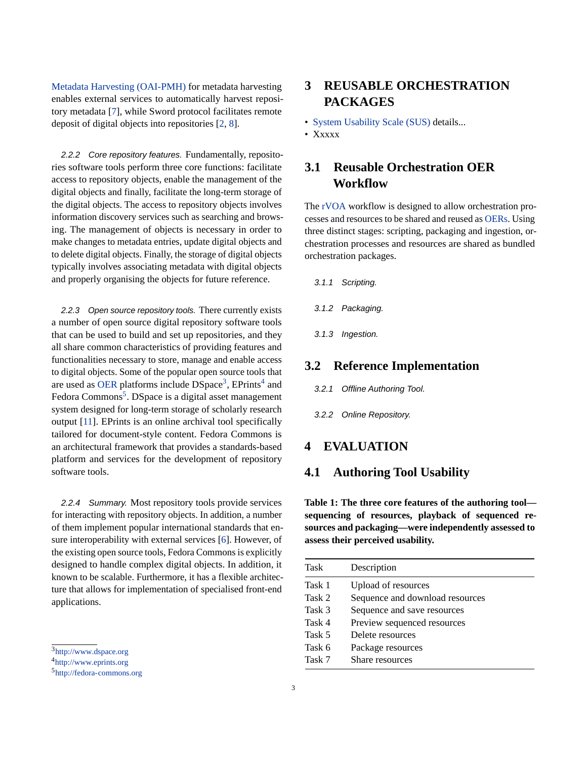[Metadata Harvesting \(OAI-PMH\)](#page-5-0) for metadata harvesting enables external services to automatically harvest repository metadata [\[7\]](#page-5-4), while Sword protocol facilitates remote deposit of digital objects into repositories [\[2,](#page-4-4) [8\]](#page-5-5).

*2.2.2 Core repository features.* Fundamentally, repositories software tools perform three core functions: facilitate access to repository objects, enable the management of the digital objects and finally, facilitate the long-term storage of the digital objects. The access to repository objects involves information discovery services such as searching and browsing. The management of objects is necessary in order to make changes to metadata entries, update digital objects and to delete digital objects. Finally, the storage of digital objects typically involves associating metadata with digital objects and properly organising the objects for future reference.

*2.2.3 Open source repository tools.* There currently exists a number of open source digital repository software tools that can be used to build and set up repositories, and they all share common characteristics of providing features and functionalities necessary to store, manage and enable access to digital objects. Some of the popular open source tools that are used as [OER](#page-5-0) platforms include  $\mathsf{DSpace}^3$  $\mathsf{DSpace}^3$ ,  $\mathsf{EPrints}^4$  $\mathsf{EPrints}^4$  and Fedora Commons<sup>[5](#page-2-4)</sup>. DSpace is a digital asset management system designed for long-term storage of scholarly research output [\[11\]](#page-5-6). EPrints is an online archival tool specifically tailored for document-style content. Fedora Commons is an architectural framework that provides a standards-based platform and services for the development of repository software tools.

*2.2.4 Summary.* Most repository tools provide services for interacting with repository objects. In addition, a number of them implement popular international standards that ensure interoperability with external services [\[6\]](#page-5-7). However, of the existing open source tools, Fedora Commons is explicitly designed to handle complex digital objects. In addition, it known to be scalable. Furthermore, it has a flexible architecture that allows for implementation of specialised front-end applications.

# <span id="page-2-0"></span>**3 REUSABLE ORCHESTRATION PACKAGES**

- [System Usability Scale \(SUS\)](#page-5-0) details...
- Xxxxx

## **3.1 Reusable Orchestration OER Workflow**

The [rVOA](#page-5-0) workflow is designed to allow orchestration processes and resources to be shared and reused as [OERs.](#page-5-0) Using three distinct stages: scripting, packaging and ingestion, orchestration processes and resources are shared as bundled orchestration packages.

- *3.1.1 Scripting.*
- *3.1.2 Packaging.*
- *3.1.3 Ingestion.*

#### **3.2 Reference Implementation**

*3.2.1 Offline Authoring Tool.*

*3.2.2 Online Repository.*

#### <span id="page-2-1"></span>**4 EVALUATION**

#### **4.1 Authoring Tool Usability**

**Table 1: The three core features of the authoring tool sequencing of resources, playback of sequenced resources and packaging—were independently assessed to assess their perceived usability.**

| Task   | Description                     |
|--------|---------------------------------|
| Task 1 | <b>Upload of resources</b>      |
| Task 2 | Sequence and download resources |
| Task 3 | Sequence and save resources     |
| Task 4 | Preview sequenced resources     |
| Task 5 | Delete resources                |
| Task 6 | Package resources               |
| Task 7 | Share resources                 |

<span id="page-2-2"></span><sup>&</sup>lt;sup>3</sup><http://www.dspace.org>

<span id="page-2-3"></span><sup>4</sup> <http://www.eprints.org>

<span id="page-2-4"></span><sup>5</sup> <http://fedora-commons.org>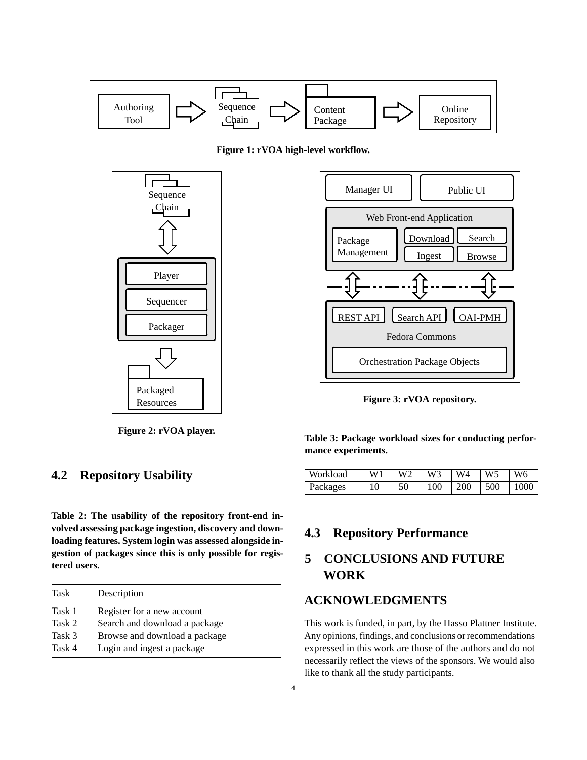

**Figure 1: rVOA high-level workflow.**



**Figure 2: rVOA player.**

#### **4.2 Repository Usability**

**Table 2: The usability of the repository front-end involved assessing package ingestion, discovery and downloading features. System login was assessed alongside ingestion of packages since this is only possible for registered users.**

| Task   | Description                   |
|--------|-------------------------------|
| Task 1 | Register for a new account    |
| Task 2 | Search and download a package |
| Task 3 | Browse and download a package |
| Task 4 | Login and ingest a package    |



**Figure 3: rVOA repository.**

**Table 3: Package workload sizes for conducting performance experiments.**

| Workload | W1 | W <sub>2</sub> | $\vert$ W3 | $\vert$ W4 | $\overline{W}$ | W6   |
|----------|----|----------------|------------|------------|----------------|------|
| Packages | 10 | 50             | 100        | 200        | 500            | 1000 |

# **4.3 Repository Performance**

# <span id="page-3-0"></span>**5 CONCLUSIONS AND FUTURE WORK**

### **ACKNOWLEDGMENTS**

This work is funded, in part, by the Hasso Plattner Institute. Any opinions, findings, and conclusions or recommendations expressed in this work are those of the authors and do not necessarily reflect the views of the sponsors. We would also like to thank all the study participants.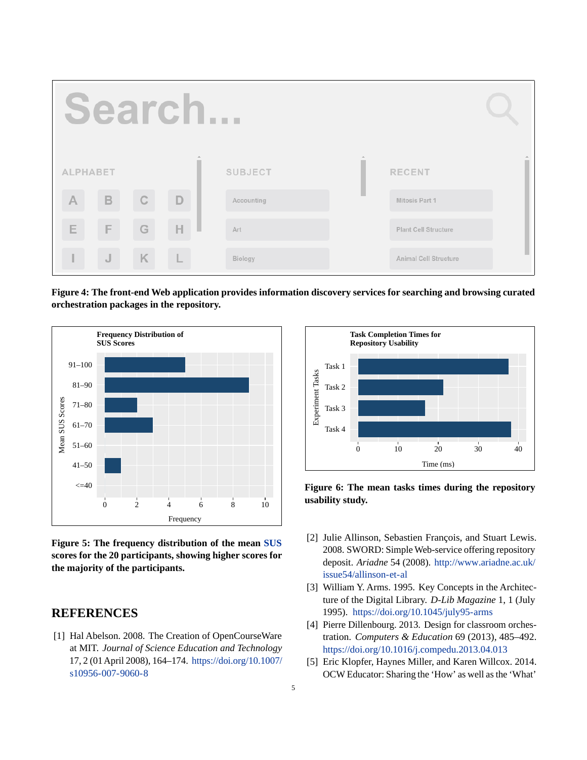

**Figure 4: The front-end Web application provides information discovery services for searching and browsing curated orchestration packages in the repository.**



**Figure 5: The frequency distribution of the mean [SUS](#page-5-0) scores for the 20 participants, showing higher scores for the majority of the participants.**

#### **REFERENCES**

<span id="page-4-1"></span>[1] Hal Abelson. 2008. The Creation of OpenCourseWare at MIT. *Journal of Science Education and Technology* 17, 2 (01 April 2008), 164–174. [https://doi.org/10.1007/](https://doi.org/10.1007/s10956-007-9060-8) [s10956-007-9060-8](https://doi.org/10.1007/s10956-007-9060-8)



**Figure 6: The mean tasks times during the repository usability study.**

- <span id="page-4-4"></span>[2] Julie Allinson, Sebastien François, and Stuart Lewis. 2008. SWORD: Simple Web-service offering repository deposit. *Ariadne* 54 (2008). [http://www.ariadne.ac.uk/](http://www.ariadne.ac.uk/issue54/allinson-et-al) [issue54/allinson-et-al](http://www.ariadne.ac.uk/issue54/allinson-et-al)
- <span id="page-4-3"></span>[3] William Y. Arms. 1995. Key Concepts in the Architecture of the Digital Library. *D-Lib Magazine* 1, 1 (July 1995). <https://doi.org/10.1045/july95-arms>
- <span id="page-4-0"></span>[4] Pierre Dillenbourg. 2013. Design for classroom orchestration. *Computers & Education* 69 (2013), 485–492. <https://doi.org/10.1016/j.compedu.2013.04.013>
- <span id="page-4-2"></span>[5] Eric Klopfer, Haynes Miller, and Karen Willcox. 2014. OCW Educator: Sharing the 'How' as well as the 'What'